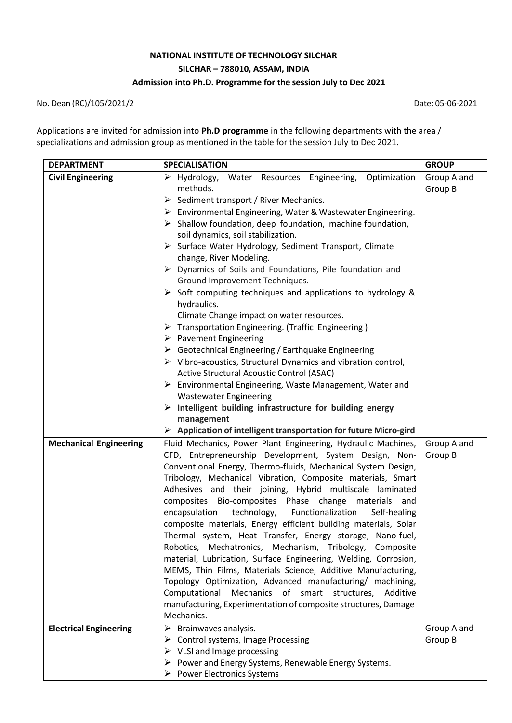# **NATIONAL INSTITUTE OF TECHNOLOGY SILCHAR SILCHAR – 788010, ASSAM, INDIA Admission into Ph.D. Programme for the session July to Dec 2021**

No. Dean (RC)/105/2021/2 Date: 05-06-2021

Applications are invited for admission into **Ph.D programme** in the following departments with the area / specializations and admission group as mentioned in the table for the session July to Dec 2021.

| <b>DEPARTMENT</b>             | <b>SPECIALISATION</b>                                                                                               | <b>GROUP</b> |
|-------------------------------|---------------------------------------------------------------------------------------------------------------------|--------------|
| <b>Civil Engineering</b>      | > Hydrology, Water Resources Engineering, Optimization                                                              | Group A and  |
|                               | methods.                                                                                                            | Group B      |
|                               | $\triangleright$ Sediment transport / River Mechanics.                                                              |              |
|                               | $\triangleright$ Environmental Engineering, Water & Wastewater Engineering.                                         |              |
|                               | $\triangleright$ Shallow foundation, deep foundation, machine foundation,                                           |              |
|                               | soil dynamics, soil stabilization.                                                                                  |              |
|                               | > Surface Water Hydrology, Sediment Transport, Climate                                                              |              |
|                               | change, River Modeling.                                                                                             |              |
|                               | > Dynamics of Soils and Foundations, Pile foundation and                                                            |              |
|                               | Ground Improvement Techniques.                                                                                      |              |
|                               | $\triangleright$ Soft computing techniques and applications to hydrology &                                          |              |
|                               | hydraulics.                                                                                                         |              |
|                               | Climate Change impact on water resources.                                                                           |              |
|                               | $\triangleright$ Transportation Engineering. (Traffic Engineering)                                                  |              |
|                               | $\triangleright$ Pavement Engineering                                                                               |              |
|                               | $\triangleright$ Geotechnical Engineering / Earthquake Engineering                                                  |              |
|                               | $\triangleright$ Vibro-acoustics, Structural Dynamics and vibration control,                                        |              |
|                               | Active Structural Acoustic Control (ASAC)                                                                           |              |
|                               | $\triangleright$ Environmental Engineering, Waste Management, Water and                                             |              |
|                               | <b>Wastewater Engineering</b>                                                                                       |              |
|                               | $\triangleright$ Intelligent building infrastructure for building energy                                            |              |
|                               | management                                                                                                          |              |
|                               | $\triangleright$ Application of intelligent transportation for future Micro-gird                                    |              |
| <b>Mechanical Engineering</b> | Fluid Mechanics, Power Plant Engineering, Hydraulic Machines,                                                       | Group A and  |
|                               | CFD, Entrepreneurship Development, System Design, Non-                                                              | Group B      |
|                               | Conventional Energy, Thermo-fluids, Mechanical System Design,                                                       |              |
|                               | Tribology, Mechanical Vibration, Composite materials, Smart                                                         |              |
|                               | Adhesives and their joining, Hybrid multiscale laminated<br>composites Bio-composites Phase change materials<br>and |              |
|                               | technology,<br>encapsulation<br>Functionalization<br>Self-healing                                                   |              |
|                               | composite materials, Energy efficient building materials, Solar                                                     |              |
|                               | Thermal system, Heat Transfer, Energy storage, Nano-fuel,                                                           |              |
|                               | Robotics, Mechatronics, Mechanism, Tribology, Composite                                                             |              |
|                               | material, Lubrication, Surface Engineering, Welding, Corrosion,                                                     |              |
|                               | MEMS, Thin Films, Materials Science, Additive Manufacturing,                                                        |              |
|                               | Topology Optimization, Advanced manufacturing/ machining,                                                           |              |
|                               | Mechanics of smart structures, Additive<br>Computational                                                            |              |
|                               | manufacturing, Experimentation of composite structures, Damage                                                      |              |
|                               | Mechanics.                                                                                                          |              |
| <b>Electrical Engineering</b> | $\triangleright$ Brainwaves analysis.                                                                               | Group A and  |
|                               | $\triangleright$ Control systems, Image Processing                                                                  | Group B      |
|                               | VLSI and Image processing<br>➤                                                                                      |              |
|                               | Power and Energy Systems, Renewable Energy Systems.                                                                 |              |
|                               | $\triangleright$ Power Electronics Systems                                                                          |              |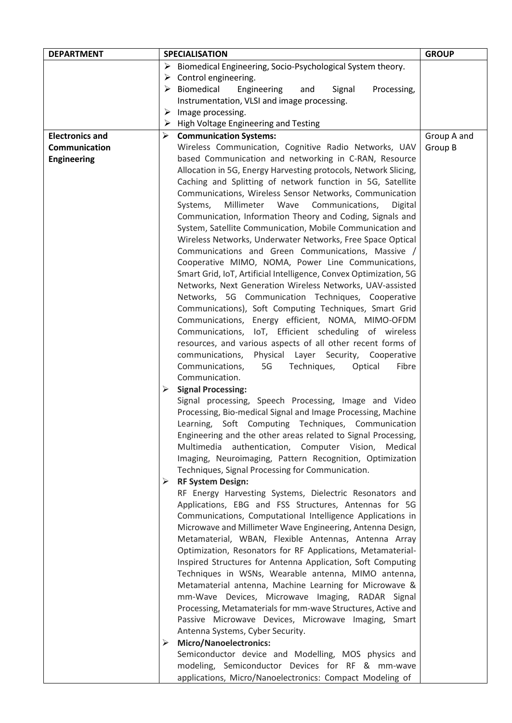| <b>DEPARTMENT</b>      |   | <b>SPECIALISATION</b>                                                      | <b>GROUP</b> |
|------------------------|---|----------------------------------------------------------------------------|--------------|
|                        |   | > Biomedical Engineering, Socio-Psychological System theory.               |              |
|                        | ➤ | Control engineering.                                                       |              |
|                        |   | $\triangleright$ Biomedical<br>Engineering<br>Signal<br>Processing,<br>and |              |
|                        |   | Instrumentation, VLSI and image processing.                                |              |
|                        | ➤ | Image processing.                                                          |              |
|                        |   | $\triangleright$ High Voltage Engineering and Testing                      |              |
| <b>Electronics and</b> | ➤ | <b>Communication Systems:</b>                                              | Group A and  |
| Communication          |   | Wireless Communication, Cognitive Radio Networks, UAV                      | Group B      |
| <b>Engineering</b>     |   | based Communication and networking in C-RAN, Resource                      |              |
|                        |   | Allocation in 5G, Energy Harvesting protocols, Network Slicing,            |              |
|                        |   | Caching and Splitting of network function in 5G, Satellite                 |              |
|                        |   | Communications, Wireless Sensor Networks, Communication                    |              |
|                        |   | Millimeter Wave<br>Communications,<br>Systems,<br>Digital                  |              |
|                        |   | Communication, Information Theory and Coding, Signals and                  |              |
|                        |   | System, Satellite Communication, Mobile Communication and                  |              |
|                        |   | Wireless Networks, Underwater Networks, Free Space Optical                 |              |
|                        |   | Communications and Green Communications, Massive /                         |              |
|                        |   | Cooperative MIMO, NOMA, Power Line Communications,                         |              |
|                        |   | Smart Grid, IoT, Artificial Intelligence, Convex Optimization, 5G          |              |
|                        |   | Networks, Next Generation Wireless Networks, UAV-assisted                  |              |
|                        |   | Networks, 5G Communication Techniques, Cooperative                         |              |
|                        |   | Communications), Soft Computing Techniques, Smart Grid                     |              |
|                        |   | Communications, Energy efficient, NOMA, MIMO-OFDM                          |              |
|                        |   | Communications, IoT, Efficient scheduling of wireless                      |              |
|                        |   | resources, and various aspects of all other recent forms of                |              |
|                        |   | communications, Physical Layer Security,<br>Cooperative                    |              |
|                        |   | Communications,<br>5G<br>Techniques,<br>Optical<br>Fibre                   |              |
|                        |   | Communication.                                                             |              |
|                        | ➤ | <b>Signal Processing:</b>                                                  |              |
|                        |   | Signal processing, Speech Processing, Image and Video                      |              |
|                        |   | Processing, Bio-medical Signal and Image Processing, Machine               |              |
|                        |   | Learning, Soft Computing Techniques, Communication                         |              |
|                        |   | Engineering and the other areas related to Signal Processing,              |              |
|                        |   | Multimedia authentication, Computer Vision,<br>Medical                     |              |
|                        |   | Imaging, Neuroimaging, Pattern Recognition, Optimization                   |              |
|                        |   | Techniques, Signal Processing for Communication.                           |              |
|                        | ≻ | <b>RF System Design:</b>                                                   |              |
|                        |   | RF Energy Harvesting Systems, Dielectric Resonators and                    |              |
|                        |   | Applications, EBG and FSS Structures, Antennas for 5G                      |              |
|                        |   | Communications, Computational Intelligence Applications in                 |              |
|                        |   | Microwave and Millimeter Wave Engineering, Antenna Design,                 |              |
|                        |   | Metamaterial, WBAN, Flexible Antennas, Antenna Array                       |              |
|                        |   | Optimization, Resonators for RF Applications, Metamaterial-                |              |
|                        |   | Inspired Structures for Antenna Application, Soft Computing                |              |
|                        |   | Techniques in WSNs, Wearable antenna, MIMO antenna,                        |              |
|                        |   | Metamaterial antenna, Machine Learning for Microwave &                     |              |
|                        |   | mm-Wave Devices, Microwave Imaging, RADAR Signal                           |              |
|                        |   | Processing, Metamaterials for mm-wave Structures, Active and               |              |
|                        |   | Passive Microwave Devices, Microwave Imaging, Smart                        |              |
|                        |   | Antenna Systems, Cyber Security.                                           |              |
|                        | ➤ | <b>Micro/Nanoelectronics:</b>                                              |              |
|                        |   | Semiconductor device and Modelling, MOS physics and                        |              |
|                        |   | modeling, Semiconductor Devices for RF & mm-wave                           |              |
|                        |   | applications, Micro/Nanoelectronics: Compact Modeling of                   |              |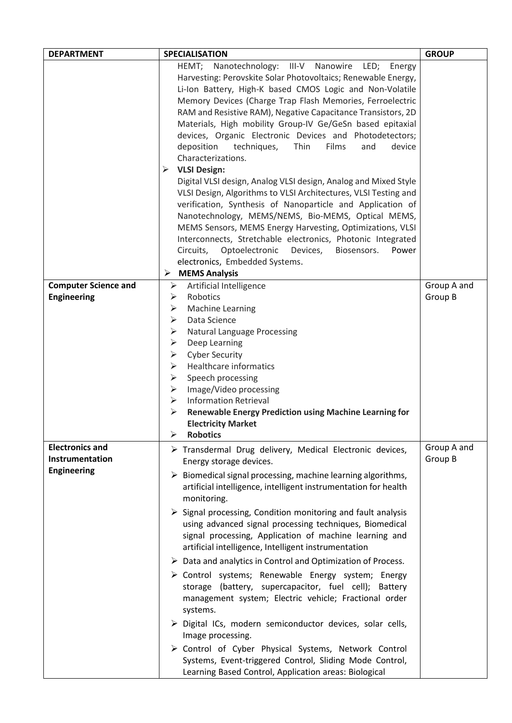| <b>DEPARTMENT</b>           | <b>SPECIALISATION</b>                                                       | <b>GROUP</b> |
|-----------------------------|-----------------------------------------------------------------------------|--------------|
|                             | HEMT;<br>Nanotechnology: III-V<br>Nanowire<br>LED; Energy                   |              |
|                             | Harvesting: Perovskite Solar Photovoltaics; Renewable Energy,               |              |
|                             | Li-Ion Battery, High-K based CMOS Logic and Non-Volatile                    |              |
|                             | Memory Devices (Charge Trap Flash Memories, Ferroelectric                   |              |
|                             | RAM and Resistive RAM), Negative Capacitance Transistors, 2D                |              |
|                             | Materials, High mobility Group-IV Ge/GeSn based epitaxial                   |              |
|                             | devices, Organic Electronic Devices and Photodetectors;                     |              |
|                             | Thin<br>Films<br>deposition<br>techniques,<br>device<br>and                 |              |
|                             | Characterizations.                                                          |              |
|                             | ➤<br><b>VLSI Design:</b>                                                    |              |
|                             | Digital VLSI design, Analog VLSI design, Analog and Mixed Style             |              |
|                             | VLSI Design, Algorithms to VLSI Architectures, VLSI Testing and             |              |
|                             | verification, Synthesis of Nanoparticle and Application of                  |              |
|                             | Nanotechnology, MEMS/NEMS, Bio-MEMS, Optical MEMS,                          |              |
|                             | MEMS Sensors, MEMS Energy Harvesting, Optimizations, VLSI                   |              |
|                             | Interconnects, Stretchable electronics, Photonic Integrated                 |              |
|                             | Circuits,<br>Optoelectronic<br>Devices,<br>Biosensors.<br>Power             |              |
|                             | electronics, Embedded Systems.                                              |              |
|                             | <b>MEMS Analysis</b><br>➤                                                   |              |
| <b>Computer Science and</b> | Artificial Intelligence<br>➤                                                | Group A and  |
| <b>Engineering</b>          | Robotics<br>➤                                                               | Group B      |
|                             | Machine Learning<br>➤                                                       |              |
|                             | Data Science<br>➤                                                           |              |
|                             | ➤<br><b>Natural Language Processing</b>                                     |              |
|                             | ➤<br>Deep Learning                                                          |              |
|                             | <b>Cyber Security</b><br>➤                                                  |              |
|                             | Healthcare informatics<br>➤                                                 |              |
|                             | ➤                                                                           |              |
|                             | Speech processing<br>➤                                                      |              |
|                             | Image/Video processing<br><b>Information Retrieval</b><br>➤                 |              |
|                             | ➤<br><b>Renewable Energy Prediction using Machine Learning for</b>          |              |
|                             |                                                                             |              |
|                             | <b>Electricity Market</b><br>$\blacktriangleright$<br><b>Robotics</b>       |              |
|                             |                                                                             |              |
| <b>Electronics and</b>      | > Transdermal Drug delivery, Medical Electronic devices,                    | Group A and  |
| Instrumentation             | Energy storage devices.                                                     | Group B      |
| <b>Engineering</b>          | $\triangleright$ Biomedical signal processing, machine learning algorithms, |              |
|                             | artificial intelligence, intelligent instrumentation for health             |              |
|                             | monitoring.                                                                 |              |
|                             | $\triangleright$ Signal processing, Condition monitoring and fault analysis |              |
|                             | using advanced signal processing techniques, Biomedical                     |              |
|                             | signal processing, Application of machine learning and                      |              |
|                             | artificial intelligence, Intelligent instrumentation                        |              |
|                             | $\triangleright$ Data and analytics in Control and Optimization of Process. |              |
|                             | > Control systems; Renewable Energy system; Energy                          |              |
|                             | storage (battery, supercapacitor, fuel cell); Battery                       |              |
|                             | management system; Electric vehicle; Fractional order                       |              |
|                             | systems.                                                                    |              |
|                             |                                                                             |              |
|                             | $\triangleright$ Digital ICs, modern semiconductor devices, solar cells,    |              |
|                             | Image processing.                                                           |              |
|                             | > Control of Cyber Physical Systems, Network Control                        |              |
|                             | Systems, Event-triggered Control, Sliding Mode Control,                     |              |
|                             | Learning Based Control, Application areas: Biological                       |              |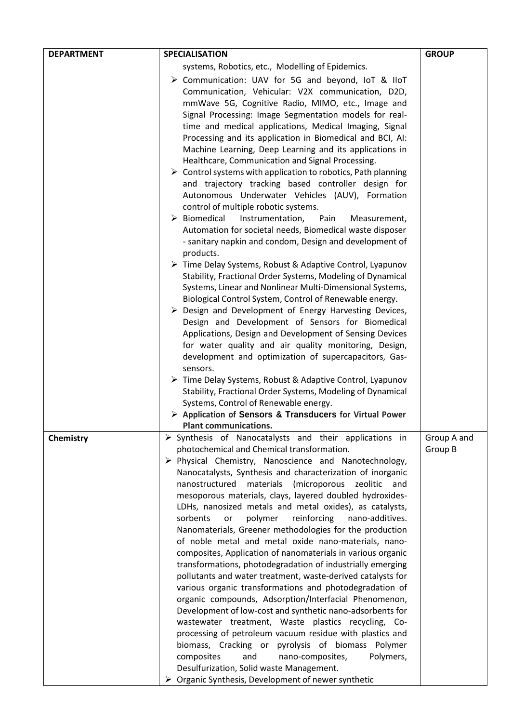| <b>DEPARTMENT</b> | <b>SPECIALISATION</b>                                                                                                                                                                                                                                                                                                                                                                                                                                                                                                                                                                                                                                                                                                                                                                                                                                                                                                                                                                                                                                                                                                                                                                                                                                                                                                                                                                                                                                                                                                                                                                                                                                                                                                                | <b>GROUP</b>           |
|-------------------|--------------------------------------------------------------------------------------------------------------------------------------------------------------------------------------------------------------------------------------------------------------------------------------------------------------------------------------------------------------------------------------------------------------------------------------------------------------------------------------------------------------------------------------------------------------------------------------------------------------------------------------------------------------------------------------------------------------------------------------------------------------------------------------------------------------------------------------------------------------------------------------------------------------------------------------------------------------------------------------------------------------------------------------------------------------------------------------------------------------------------------------------------------------------------------------------------------------------------------------------------------------------------------------------------------------------------------------------------------------------------------------------------------------------------------------------------------------------------------------------------------------------------------------------------------------------------------------------------------------------------------------------------------------------------------------------------------------------------------------|------------------------|
|                   | systems, Robotics, etc., Modelling of Epidemics.                                                                                                                                                                                                                                                                                                                                                                                                                                                                                                                                                                                                                                                                                                                                                                                                                                                                                                                                                                                                                                                                                                                                                                                                                                                                                                                                                                                                                                                                                                                                                                                                                                                                                     |                        |
|                   | > Communication: UAV for 5G and beyond, IoT & IIoT<br>Communication, Vehicular: V2X communication, D2D,<br>mmWave 5G, Cognitive Radio, MIMO, etc., Image and<br>Signal Processing: Image Segmentation models for real-<br>time and medical applications, Medical Imaging, Signal<br>Processing and its application in Biomedical and BCI, AI:<br>Machine Learning, Deep Learning and its applications in<br>Healthcare, Communication and Signal Processing.<br>$\triangleright$ Control systems with application to robotics, Path planning<br>and trajectory tracking based controller design for<br>Autonomous Underwater Vehicles (AUV), Formation<br>control of multiple robotic systems.<br>$\triangleright$ Biomedical<br>Instrumentation,<br>Pain<br>Measurement,<br>Automation for societal needs, Biomedical waste disposer<br>- sanitary napkin and condom, Design and development of<br>products.<br>$\triangleright$ Time Delay Systems, Robust & Adaptive Control, Lyapunov<br>Stability, Fractional Order Systems, Modeling of Dynamical<br>Systems, Linear and Nonlinear Multi-Dimensional Systems,<br>Biological Control System, Control of Renewable energy.<br>$\triangleright$ Design and Development of Energy Harvesting Devices,<br>Design and Development of Sensors for Biomedical<br>Applications, Design and Development of Sensing Devices<br>for water quality and air quality monitoring, Design,<br>development and optimization of supercapacitors, Gas-<br>sensors.<br>▶ Time Delay Systems, Robust & Adaptive Control, Lyapunov<br>Stability, Fractional Order Systems, Modeling of Dynamical<br>Systems, Control of Renewable energy.<br>> Application of Sensors & Transducers for Virtual Power |                        |
|                   | <b>Plant communications.</b>                                                                                                                                                                                                                                                                                                                                                                                                                                                                                                                                                                                                                                                                                                                                                                                                                                                                                                                                                                                                                                                                                                                                                                                                                                                                                                                                                                                                                                                                                                                                                                                                                                                                                                         |                        |
| Chemistry         | $\triangleright$ Synthesis of Nanocatalysts and their applications in<br>photochemical and Chemical transformation.<br>> Physical Chemistry, Nanoscience and Nanotechnology,<br>Nanocatalysts, Synthesis and characterization of inorganic<br>nanostructured<br>materials<br>(microporous<br>zeolitic<br>and<br>mesoporous materials, clays, layered doubled hydroxides-<br>LDHs, nanosized metals and metal oxides), as catalysts,<br>sorbents<br>polymer<br>reinforcing<br>nano-additives.<br>or<br>Nanomaterials, Greener methodologies for the production<br>of noble metal and metal oxide nano-materials, nano-<br>composites, Application of nanomaterials in various organic<br>transformations, photodegradation of industrially emerging<br>pollutants and water treatment, waste-derived catalysts for<br>various organic transformations and photodegradation of<br>organic compounds, Adsorption/Interfacial Phenomenon,<br>Development of low-cost and synthetic nano-adsorbents for<br>wastewater treatment, Waste plastics recycling, Co-<br>processing of petroleum vacuum residue with plastics and<br>biomass, Cracking or pyrolysis of biomass Polymer<br>composites<br>and<br>nano-composites,<br>Polymers,<br>Desulfurization, Solid waste Management.<br>$\triangleright$ Organic Synthesis, Development of newer synthetic                                                                                                                                                                                                                                                                                                                                                                                   | Group A and<br>Group B |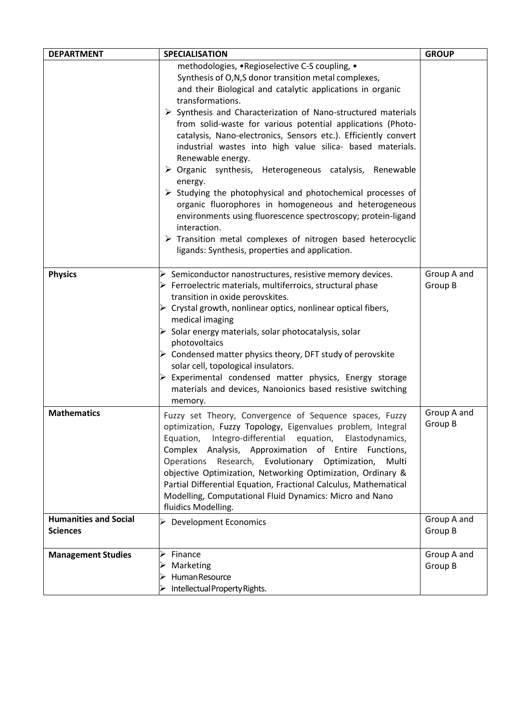| <b>DEPARTMENT</b>                               | <b>SPECIALISATION</b>                                                                                                                                                                                                                                                                                                                                                                                                                                                                                                                                                                                                                                         | <b>GROUP</b>           |
|-------------------------------------------------|---------------------------------------------------------------------------------------------------------------------------------------------------------------------------------------------------------------------------------------------------------------------------------------------------------------------------------------------------------------------------------------------------------------------------------------------------------------------------------------------------------------------------------------------------------------------------------------------------------------------------------------------------------------|------------------------|
|                                                 | methodologies, .Regioselective C-S coupling, .<br>Synthesis of O,N,S donor transition metal complexes,<br>and their Biological and catalytic applications in organic<br>transformations.<br>$\triangleright$ Synthesis and Characterization of Nano-structured materials<br>from solid-waste for various potential applications (Photo-<br>catalysis, Nano-electronics, Sensors etc.). Efficiently convert<br>industrial wastes into high value silica- based materials.<br>Renewable energy.<br>> Organic synthesis, Heterogeneous catalysis, Renewable                                                                                                      |                        |
|                                                 | energy.<br>$\triangleright$ Studying the photophysical and photochemical processes of<br>organic fluorophores in homogeneous and heterogeneous<br>environments using fluorescence spectroscopy; protein-ligand<br>interaction.<br>$\triangleright$ Transition metal complexes of nitrogen based heterocyclic<br>ligands: Synthesis, properties and application.                                                                                                                                                                                                                                                                                               |                        |
| <b>Physics</b>                                  | $\triangleright$ Semiconductor nanostructures, resistive memory devices.<br>$\triangleright$ Ferroelectric materials, multiferroics, structural phase<br>transition in oxide perovskites.<br>$\triangleright$ Crystal growth, nonlinear optics, nonlinear optical fibers,<br>medical imaging<br>$\triangleright$ Solar energy materials, solar photocatalysis, solar<br>photovoltaics<br>$\triangleright$ Condensed matter physics theory, DFT study of perovskite<br>solar cell, topological insulators.<br>$\triangleright$ Experimental condensed matter physics, Energy storage<br>materials and devices, Nanoionics based resistive switching<br>memory. | Group A and<br>Group B |
| <b>Mathematics</b>                              | Fuzzy set Theory, Convergence of Sequence spaces, Fuzzy<br>optimization, Fuzzy Topology, Eigenvalues problem, Integral<br>Equation, Integro-differential equation, Elastodynamics,<br>Complex Analysis, Approximation of Entire Functions,<br>Operations Research, Evolutionary Optimization,<br>Multi<br>objective Optimization, Networking Optimization, Ordinary &<br>Partial Differential Equation, Fractional Calculus, Mathematical<br>Modelling, Computational Fluid Dynamics: Micro and Nano<br>fluidics Modelling.                                                                                                                                   | Group A and<br>Group B |
| <b>Humanities and Social</b><br><b>Sciences</b> | > Development Economics                                                                                                                                                                                                                                                                                                                                                                                                                                                                                                                                                                                                                                       | Group A and<br>Group B |
| <b>Management Studies</b>                       | Finance<br>Marketing<br>Human Resource<br>Intellectual Property Rights.                                                                                                                                                                                                                                                                                                                                                                                                                                                                                                                                                                                       | Group A and<br>Group B |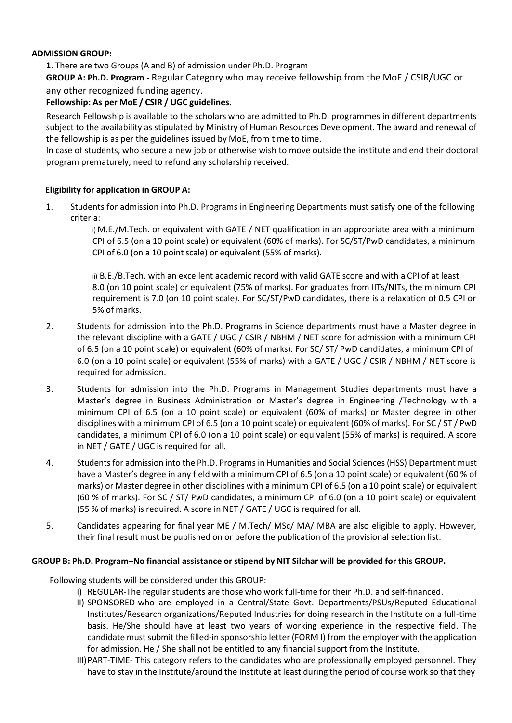# **ADMISSION GROUP:**

**1**. There are two Groups (A and B) of admission under Ph.D. Program

**GROUP A: Ph.D. Program -** Regular Category who may receive fellowship from the MoE / CSIR/UGC or any other recognized funding agency.

# **Fellowship: As per MoE / CSIR / UGC guidelines.**

Research Fellowship is available to the scholars who are admitted to Ph.D. programmes in different departments subject to the availability as stipulated by Ministry of Human Resources Development. The award and renewal of the fellowship is as per the guidelines issued by MoE, from time to time.

In case of students, who secure a new job or otherwise wish to move outside the institute and end their doctoral program prematurely, need to refund any scholarship received.

# **Eligibility for application in GROUP A:**

1. Students for admission into Ph.D. Programs in Engineering Departments must satisfy one of the following criteria:

> i) M.E./M.Tech. or equivalent with GATE / NET qualification in an appropriate area with a minimum CPI of 6.5 (on a 10 point scale) or equivalent (60% of marks). For SC/ST/PwD candidates, a minimum CPI of 6.0 (on a 10 point scale) or equivalent (55% of marks).

> ii) B.E./B.Tech. with an excellent academic record with valid GATE score and with a CPI of at least 8.0 (on 10 point scale) or equivalent (75% of marks). For graduates from IITs/NITs, the minimum CPI requirement is 7.0 (on 10 point scale). For SC/ST/PwD candidates, there is a relaxation of 0.5 CPI or 5% of marks.

- 2. Students for admission into the Ph.D. Programs in Science departments must have a Master degree in the relevant discipline with a GATE / UGC / CSIR / NBHM / NET score for admission with a minimum CPI of 6.5 (on a 10 point scale) or equivalent (60% of marks). For SC/ ST/ PwD candidates, a minimum CPI of 6.0 (on a 10 point scale) or equivalent (55% of marks) with a GATE / UGC / CSIR / NBHM / NET score is required for admission.
- 3. Students for admission into the Ph.D. Programs in Management Studies departments must have a Master's degree in Business Administration or Master's degree in Engineering /Technology with a minimum CPI of 6.5 (on a 10 point scale) or equivalent (60% of marks) or Master degree in other disciplines with a minimum CPI of 6.5 (on a 10 point scale) or equivalent (60% of marks). For SC / ST / PwD candidates, a minimum CPI of 6.0 (on a 10 point scale) or equivalent (55% of marks) is required. A score in NET / GATE / UGC is required for all.
- 4. Students for admission into the Ph.D. Programs in Humanities and Social Sciences (HSS) Department must have a Master's degree in any field with a minimum CPI of 6.5 (on a 10 point scale) or equivalent (60 % of marks) or Master degree in other disciplines with a minimum CPI of 6.5 (on a 10 point scale) or equivalent (60 % of marks). For SC / ST/ PwD candidates, a minimum CPI of 6.0 (on a 10 point scale) or equivalent (55 % of marks) is required. A score in NET / GATE / UGC is required for all.
- 5. Candidates appearing for final year ME / M.Tech/ MSc/ MA/ MBA are also eligible to apply. However, their final result must be published on or before the publication of the provisional selection list.

#### GROUP B: Ph.D. Program-No financial assistance or stipend by NIT Silchar will be provided for this GROUP.

Following students will be considered under this GROUP:

- I) REGULAR-The regular students are those who work full-time for their Ph.D. and self-financed.
- II) SPONSORED-who are employed in a Central/State Govt. Departments/PSUs/Reputed Educational Institutes/Research organizations/Reputed Industries for doing research in the Institute on a full-time basis. He/She should have at least two years of working experience in the respective field. The candidate must submit the filled-in sponsorship letter (FORM I) from the employer with the application for admission. He / She shall not be entitled to any financial support from the Institute.
- III)PART-TIME- This category refers to the candidates who are professionally employed personnel. They have to stay in the Institute/around the Institute at least during the period of course work so that they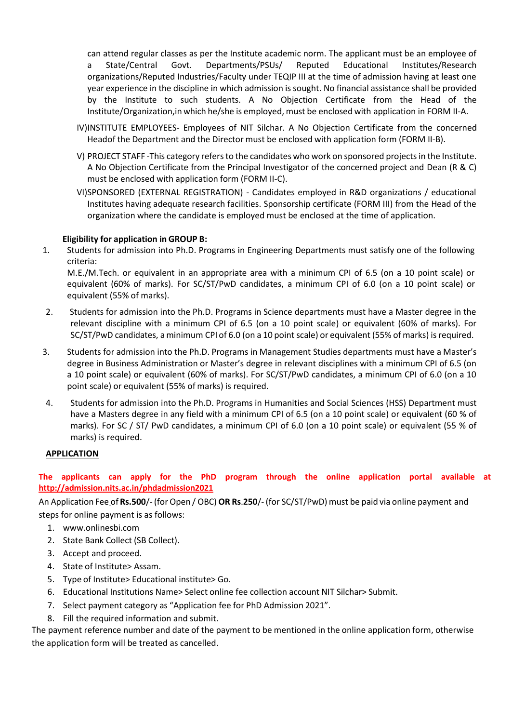can attend regular classes as per the Institute academic norm. The applicant must be an employee of a State/Central Govt. Departments/PSUs/ Reputed Educational Institutes/Research organizations/Reputed Industries/Faculty under TEQIP III at the time of admission having at least one year experience in the discipline in which admission is sought. No financial assistance shall be provided by the Institute to such students. A No Objection Certificate from the Head of the Institute/Organization,in which he/she is employed, must be enclosed with application in FORM II-A.

- IV)INSTITUTE EMPLOYEES- Employees of NIT Silchar. A No Objection Certificate from the concerned Headof the Department and the Director must be enclosed with application form (FORM II-B).
- V) PROJECT STAFF -This category refers to the candidates who work on sponsored projects in the Institute. A No Objection Certificate from the Principal Investigator of the concerned project and Dean (R & C) must be enclosed with application form (FORM II-C).
- VI)SPONSORED (EXTERNAL REGISTRATION) Candidates employed in R&D organizations / educational Institutes having adequate research facilities. Sponsorship certificate (FORM III) from the Head of the organization where the candidate is employed must be enclosed at the time of application.

# **Eligibility for application in GROUP B:**

1. Students for admission into Ph.D. Programs in Engineering Departments must satisfy one of the following criteria:

M.E./M.Tech. or equivalent in an appropriate area with a minimum CPI of 6.5 (on a 10 point scale) or equivalent (60% of marks). For SC/ST/PwD candidates, a minimum CPI of 6.0 (on a 10 point scale) or equivalent (55% of marks).

- 2. Students for admission into the Ph.D. Programs in Science departments must have a Master degree in the relevant discipline with a minimum CPI of 6.5 (on a 10 point scale) or equivalent (60% of marks). For SC/ST/PwD candidates, aminimum CPI of 6.0 (on a 10 point scale) or equivalent (55% of marks) isrequired.
- 3. Students for admission into the Ph.D. Programs in Management Studies departments must have a Master's degree in Business Administration or Master's degree in relevant disciplines with a minimum CPI of 6.5 (on a 10 point scale) or equivalent (60% of marks). For SC/ST/PwD candidates, a minimum CPI of 6.0 (on a 10 point scale) or equivalent (55% of marks) is required.
- 4. Students for admission into the Ph.D. Programs in Humanities and Social Sciences (HSS) Department must have a Masters degree in any field with a minimum CPI of 6.5 (on a 10 point scale) or equivalent (60 % of marks). For SC / ST/ PwD candidates, a minimum CPI of 6.0 (on a 10 point scale) or equivalent (55 % of marks) is required.

#### **APPLICATION**

# **The applicants can apply for the PhD program through the online application portal available at <http://admission.nits.ac.in/phdadmission2021>**

An Application Fee of **Rs.500**/- (forOpen / OBC) **OR Rs**.**250**/- (for SC/ST/PwD) must be paid via online payment and steps for online payment is as follows:

- 1. [www.onlinesbi.com](http://www.onlinesbi.com/)
- 2. State Bank Collect (SB Collect).
- 3. Accept and proceed.
- 4. State of Institute> Assam.
- 5. Type of Institute> Educational institute> Go.
- 6. Educational Institutions Name> Select online fee collection account NIT Silchar> Submit.
- 7. Select payment category as "Application fee for PhD Admission 2021".
- 8. Fill the required information and submit.

The payment reference number and date of the payment to be mentioned in the online application form, otherwise the application form will be treated as cancelled.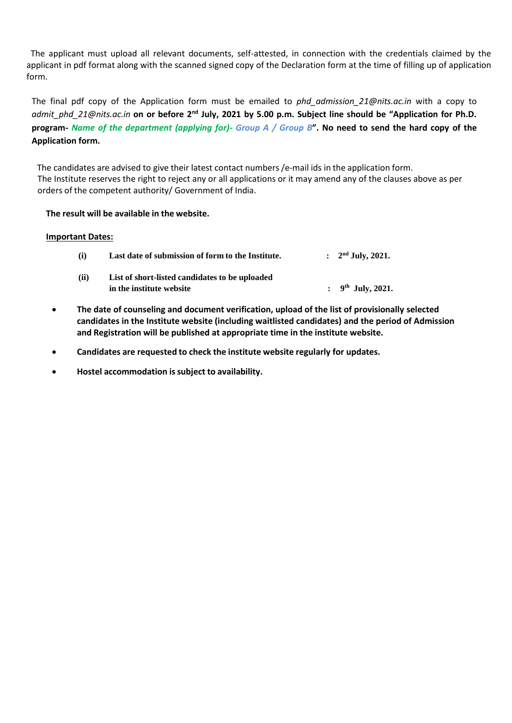The applicant must upload all relevant documents, self-attested, in connection with the credentials claimed by the applicant in pdf format along with the scanned signed copy of the Declaration form at the time of filling up of application form.

The final pdf copy of the Application form must be emailed to *[phd\\_admission\\_21@nits.ac.in](mailto:phd_admission_21@nits.ac.in)* with a copy to *[admit\\_phd\\_21@nits.ac.in](mailto:admit_phd_21@nits.ac.in)* **on or before 2nd July, 2021 by 5.00 p.m. Subject line should be "Application for Ph.D. program-** *Name of the department (applying for)- Group A / Group B***". No need to send the hard copy of the Application form.**

The candidates are advised to give their latest contact numbers /e-mail ids in the application form. The Institute reserves the right to reject any or all applications or it may amend any of the clauses above as per orders of the competent authority/ Government of India.

#### **The result will be available in the website.**

#### **Important Dates:**

| (i)  | Last date of submission of form to the Institute.                          | : $2nd$ July, 2021.    |
|------|----------------------------------------------------------------------------|------------------------|
| (ii) | List of short-listed candidates to be uploaded<br>in the institute website | : $9^{th}$ July, 2021. |

- **The date of counseling and document verification, upload of the list of provisionally selected candidates in the Institute website (including waitlisted candidates) and the period of Admission and Registration will be published at appropriate time in the institute website.**
- **Candidates are requested to check the institute website regularly for updates.**
- **Hostel accommodation issubject to availability.**